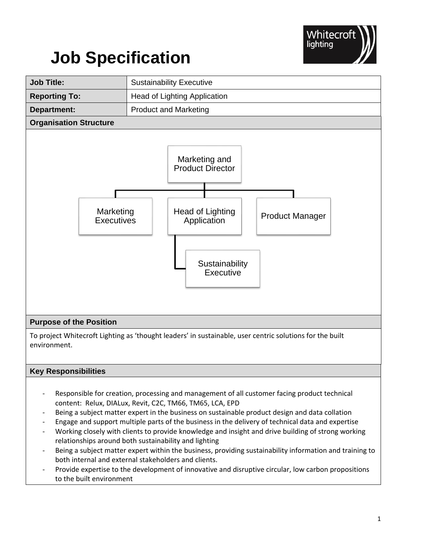

# **Job Specification**